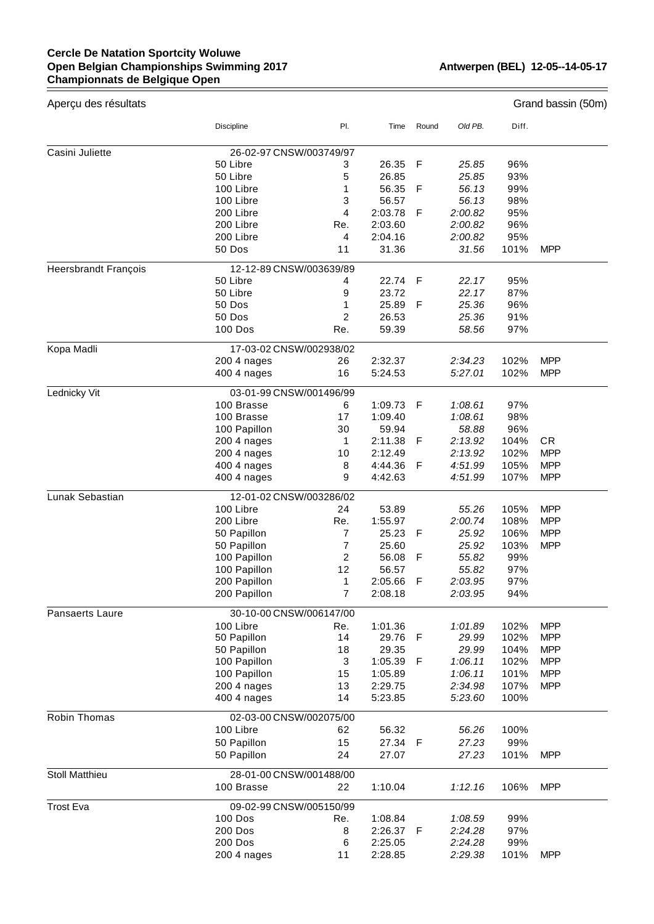## **Cercle De Natation Sportcity Woluwe Open Belgian Championships Swimming 2017 Championnats de Belgique Open**

 $=$ 

| Aperçu des résultats        | Grand bassin (50m)                   |                |                    |       |                    |              |            |  |  |  |
|-----------------------------|--------------------------------------|----------------|--------------------|-------|--------------------|--------------|------------|--|--|--|
|                             | Discipline                           | PI.            | Time               | Round | Old PB.            | Diff.        |            |  |  |  |
| Casini Juliette             | 26-02-97 CNSW/003749/97              |                |                    |       |                    |              |            |  |  |  |
|                             | 50 Libre                             | 3              | 26.35              | F     | 25.85              | 96%          |            |  |  |  |
|                             | 50 Libre                             | 5              | 26.85              |       | 25.85              | 93%          |            |  |  |  |
|                             | 100 Libre                            | 1              | 56.35              | F     | 56.13              | 99%          |            |  |  |  |
|                             | 100 Libre                            | 3              | 56.57              |       | 56.13              | 98%          |            |  |  |  |
|                             | 200 Libre                            | 4              | 2:03.78            | F     | 2:00.82            | 95%          |            |  |  |  |
|                             | 200 Libre                            | Re.            | 2:03.60            |       | 2:00.82            | 96%          |            |  |  |  |
|                             | 200 Libre                            | 4              | 2:04.16            |       | 2:00.82            | 95%          |            |  |  |  |
|                             | 50 Dos                               | 11             | 31.36              |       | 31.56              | 101%         | <b>MPP</b> |  |  |  |
| <b>Heersbrandt François</b> | 12-12-89 CNSW/003639/89              |                |                    |       |                    |              |            |  |  |  |
|                             | 50 Libre                             | 4              | 22.74              | -F    | 22.17              | 95%          |            |  |  |  |
|                             | 50 Libre                             | 9              | 23.72              |       | 22.17              | 87%          |            |  |  |  |
|                             | 50 Dos                               | 1              | 25.89              | F     | 25.36              | 96%          |            |  |  |  |
|                             | 50 Dos                               | $\overline{2}$ | 26.53              |       | 25.36              | 91%          |            |  |  |  |
|                             | <b>100 Dos</b>                       | Re.            | 59.39              |       | 58.56              | 97%          |            |  |  |  |
| Kopa Madli                  | 17-03-02 CNSW/002938/02              |                |                    |       |                    |              |            |  |  |  |
|                             | 200 4 nages                          | 26             | 2:32.37            |       | 2:34.23            | 102%         | <b>MPP</b> |  |  |  |
|                             | 400 4 nages                          | 16             | 5:24.53            |       | 5:27.01            | 102%         | <b>MPP</b> |  |  |  |
| Lednicky Vit                | 03-01-99 CNSW/001496/99              |                |                    |       |                    |              |            |  |  |  |
|                             | 100 Brasse                           | 6              | 1:09.73            | F     | 1:08.61            | 97%          |            |  |  |  |
|                             | 100 Brasse                           | 17             | 1:09.40            |       | 1:08.61            | 98%          |            |  |  |  |
|                             | 100 Papillon                         | 30             | 59.94              |       | 58.88              | 96%          |            |  |  |  |
|                             | 200 4 nages                          | 1              | 2:11.38            | F     | 2:13.92            | 104%         | CR.        |  |  |  |
|                             | 200 4 nages                          | 10             | 2:12.49            |       | 2:13.92            | 102%         | <b>MPP</b> |  |  |  |
|                             | 400 4 nages                          | 8              | 4:44.36            | F     | 4:51.99            | 105%         | <b>MPP</b> |  |  |  |
|                             | 400 4 nages                          | 9              | 4:42.63            |       | 4:51.99            | 107%         | <b>MPP</b> |  |  |  |
| Lunak Sebastian             | 12-01-02 CNSW/003286/02              |                |                    |       |                    |              |            |  |  |  |
|                             | 100 Libre                            | 24             | 53.89              |       | 55.26              | 105%         | <b>MPP</b> |  |  |  |
|                             | 200 Libre                            | Re.            | 1:55.97            |       | 2:00.74            | 108%         | <b>MPP</b> |  |  |  |
|                             | 50 Papillon                          | 7              | 25.23              | F     | 25.92              | 106%         | <b>MPP</b> |  |  |  |
|                             | 50 Papillon                          | $\overline{7}$ | 25.60              |       | 25.92              | 103%         | <b>MPP</b> |  |  |  |
|                             | 100 Papillon                         | 2              | 56.08              | F     | 55.82              | 99%          |            |  |  |  |
|                             | 100 Papillon                         | 12             | 56.57              |       | 55.82              | 97%          |            |  |  |  |
|                             | 200 Papillon                         | 1              | 2:05.66            | F     | 2:03.95            | 97%          |            |  |  |  |
|                             | 200 Papillon                         | 7              | 2:08.18            |       | 2:03.95            | 94%          |            |  |  |  |
| Pansaerts Laure             | 30-10-00 CNSW/006147/00              |                |                    |       |                    |              |            |  |  |  |
|                             | 100 Libre                            | Re.            | 1:01.36            |       | 1:01.89            | 102%         | <b>MPP</b> |  |  |  |
|                             | 50 Papillon                          | 14             | 29.76              | F     | 29.99              | 102%         | <b>MPP</b> |  |  |  |
|                             | 50 Papillon                          | 18             | 29.35              |       | 29.99              | 104%         | <b>MPP</b> |  |  |  |
|                             | 100 Papillon                         | 3              | 1:05.39            | F     | 1:06.11            | 102%         | <b>MPP</b> |  |  |  |
|                             | 100 Papillon                         | 15             | 1:05.89            |       | 1:06.11            | 101%         | <b>MPP</b> |  |  |  |
|                             | 200 4 nages<br>400 4 nages           | 13<br>14       | 2:29.75<br>5:23.85 |       | 2:34.98<br>5:23.60 | 107%<br>100% | <b>MPP</b> |  |  |  |
|                             |                                      |                |                    |       |                    |              |            |  |  |  |
| Robin Thomas                | 02-03-00 CNSW/002075/00<br>100 Libre | 62             | 56.32              |       | 56.26              | 100%         |            |  |  |  |
|                             | 50 Papillon                          | 15             | 27.34              | - F   | 27.23              | 99%          |            |  |  |  |
|                             | 50 Papillon                          | 24             | 27.07              |       | 27.23              | 101%         | <b>MPP</b> |  |  |  |
| Stoll Matthieu              | 28-01-00 CNSW/001488/00              |                |                    |       |                    |              |            |  |  |  |
|                             | 100 Brasse                           | 22             | 1:10.04            |       | 1:12.16            | 106%         | <b>MPP</b> |  |  |  |
| <b>Trost Eva</b>            | 09-02-99 CNSW/005150/99              |                |                    |       |                    |              |            |  |  |  |
|                             | <b>100 Dos</b>                       | Re.            | 1:08.84            |       | 1:08.59            | 99%          |            |  |  |  |
|                             | 200 Dos                              | 8              | 2:26.37            | -F    | 2:24.28            | 97%          |            |  |  |  |
|                             | 200 Dos                              | 6              | 2:25.05            |       | 2:24.28            | 99%          |            |  |  |  |
|                             | 200 4 nages                          | 11             | 2:28.85            |       | 2:29.38            | 101%         | <b>MPP</b> |  |  |  |